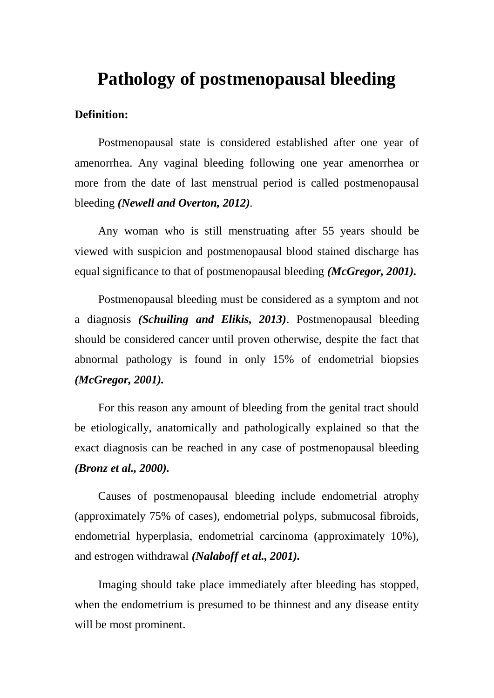# **Pathology of postmenopausal bleeding**

#### **Definition:**

Postmenopausal state is considered established after one year of amenorrhea. Any vaginal bleeding following one year amenorrhea or more from the date of last menstrual period is called postmenopausal bleeding *(Newell and Overton, 2012).*

Any woman who is still menstruating after 55 years should be viewed with suspicion and postmenopausal blood stained discharge has equal significance to that of postmenopausal bleeding *(McGregor, 2001).*

Postmenopausal bleeding must be considered as a symptom and not a diagnosis *(Schuiling and Elikis, 2013)*. Postmenopausal bleeding should be considered cancer until proven otherwise, despite the fact that abnormal pathology is found in only 15% of endometrial biopsies *(McGregor, 2001).*

For this reason any amount of bleeding from the genital tract should be etiologically, anatomically and pathologically explained so that the exact diagnosis can be reached in any case of postmenopausal bleeding *(Bronz et al., 2000).*

Causes of postmenopausal bleeding include endometrial atrophy (approximately 75% of cases), endometrial polyps, submucosal fibroids, endometrial hyperplasia, endometrial carcinoma (approximately 10%), and estrogen withdrawal *(Nalaboff et al., 2001).*

Imaging should take place immediately after bleeding has stopped, when the endometrium is presumed to be thinnest and any disease entity will be most prominent.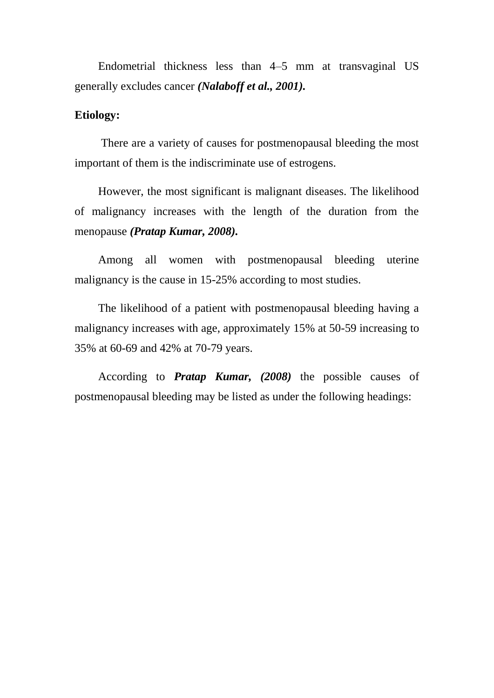Endometrial thickness less than 4–5 mm at transvaginal US generally excludes cancer *(Nalaboff et al., 2001).*

## **Etiology:**

There are a variety of causes for postmenopausal bleeding the most important of them is the indiscriminate use of estrogens.

However, the most significant is malignant diseases. The likelihood of malignancy increases with the length of the duration from the menopause *(Pratap Kumar, 2008).*

Among all women with postmenopausal bleeding uterine malignancy is the cause in 15-25% according to most studies.

The likelihood of a patient with postmenopausal bleeding having a malignancy increases with age, approximately 15% at 50-59 increasing to 35% at 60-69 and 42% at 70-79 years.

According to *Pratap Kumar, (2008)* the possible causes of postmenopausal bleeding may be listed as under the following headings: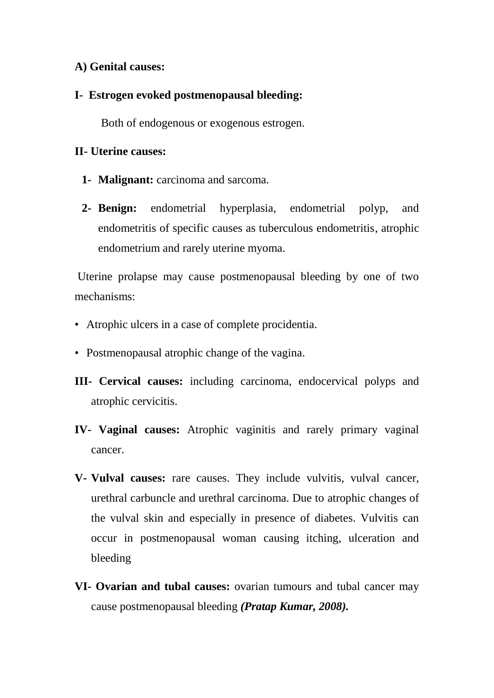# **A) Genital causes:**

## **I- Estrogen evoked postmenopausal bleeding:**

Both of endogenous or exogenous estrogen.

# **II- Uterine causes:**

- **1- Malignant:** carcinoma and sarcoma.
- **2- Benign:** endometrial hyperplasia, endometrial polyp, and endometritis of specific causes as tuberculous endometritis, atrophic endometrium and rarely uterine myoma.

Uterine prolapse may cause postmenopausal bleeding by one of two mechanisms:

- Atrophic ulcers in a case of complete procidentia.
- Postmenopausal atrophic change of the vagina.
- **III- Cervical causes:** including carcinoma, endocervical polyps and atrophic cervicitis.
- **IV- Vaginal causes:** Atrophic vaginitis and rarely primary vaginal cancer.
- **V- Vulval causes:** rare causes. They include vulvitis, vulval cancer, urethral carbuncle and urethral carcinoma. Due to atrophic changes of the vulval skin and especially in presence of diabetes. Vulvitis can occur in postmenopausal woman causing itching, ulceration and bleeding
- **VI- Ovarian and tubal causes:** ovarian tumours and tubal cancer may cause postmenopausal bleeding *(Pratap Kumar, 2008).*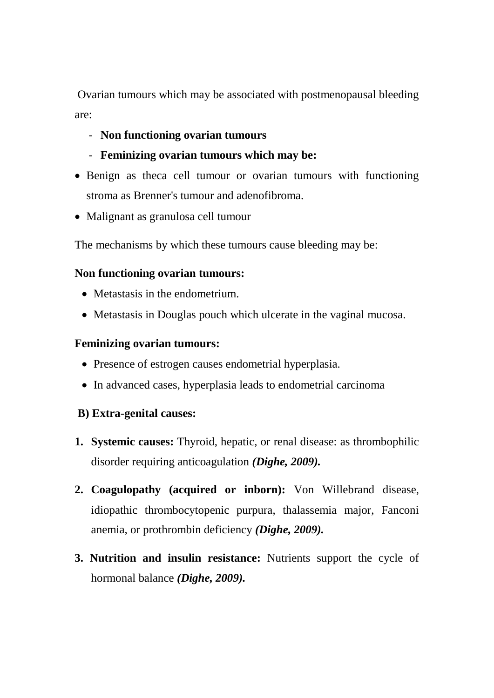Ovarian tumours which may be associated with postmenopausal bleeding are:

- **Non functioning ovarian tumours**
- **Feminizing ovarian tumours which may be:**
- Benign as the ca cell tumour or ovarian tumours with functioning stroma as Brenner's tumour and adenofibroma.
- Malignant as granulosa cell tumour

The mechanisms by which these tumours cause bleeding may be:

# **Non functioning ovarian tumours:**

- Metastasis in the endometrium.
- Metastasis in Douglas pouch which ulcerate in the vaginal mucosa.

# **Feminizing ovarian tumours:**

- Presence of estrogen causes endometrial hyperplasia.
- In advanced cases, hyperplasia leads to endometrial carcinoma

# **B) Extra-genital causes:**

- **1. Systemic causes:** Thyroid, hepatic, or renal disease: as thrombophilic disorder requiring anticoagulation *(Dighe, 2009).*
- **2. Coagulopathy (acquired or inborn):** Von Willebrand disease, idiopathic thrombocytopenic purpura, thalassemia major, Fanconi anemia, or prothrombin deficiency *(Dighe, 2009).*
- **3. Nutrition and insulin resistance:** Nutrients support the cycle of hormonal balance *(Dighe, 2009).*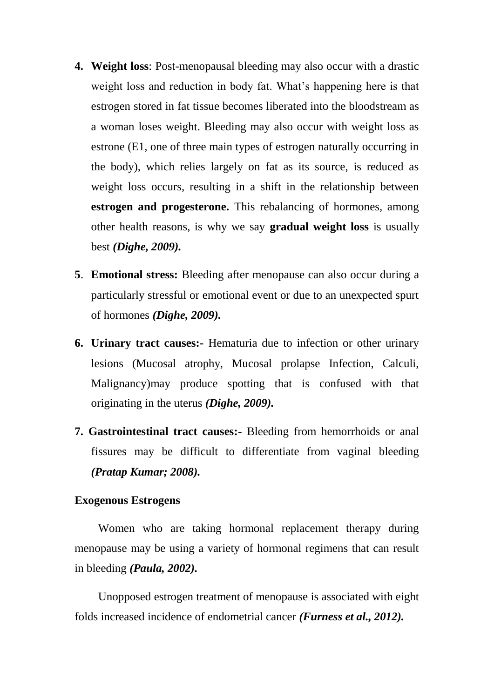- **4. Weight loss**: Post-menopausal bleeding may also occur with a drastic weight loss and reduction in body fat. What's happening here is that estrogen stored in fat tissue becomes liberated into the bloodstream as a woman loses weight. Bleeding may also occur with weight loss as estrone (E1, one of three main types of estrogen naturally occurring in the body), which relies largely on fat as its source, is reduced as weight loss occurs, resulting in a shift in the relationship between **estrogen and progesterone.** This rebalancing of hormones, among other health reasons, is why we say **gradual weight loss** is usually best *(Dighe, 2009).*
- **5**. **Emotional stress:** Bleeding after menopause can also occur during a particularly stressful or emotional event or due to an unexpected spurt of hormones *(Dighe, 2009).*
- **6. Urinary tract causes:-** Hematuria due to infection or other urinary lesions (Mucosal atrophy, Mucosal prolapse Infection, Calculi, Malignancy)may produce spotting that is confused with that originating in the uterus *(Dighe, 2009).*
- **7. Gastrointestinal tract causes:-** Bleeding from hemorrhoids or anal fissures may be difficult to differentiate from vaginal bleeding *(Pratap Kumar; 2008).*

#### **Exogenous Estrogens**

Women who are taking hormonal replacement therapy during menopause may be using a variety of hormonal regimens that can result in bleeding *(Paula, 2002).*

Unopposed estrogen treatment of menopause is associated with eight folds increased incidence of endometrial cancer *(Furness et al., 2012).*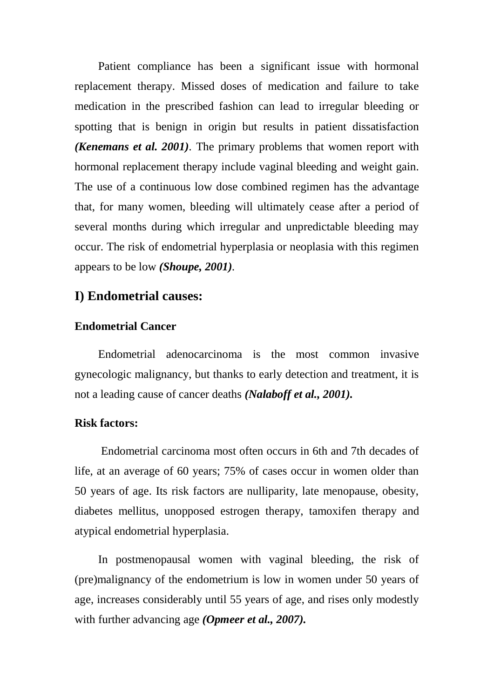Patient compliance has been a significant issue with hormonal replacement therapy. Missed doses of medication and failure to take medication in the prescribed fashion can lead to irregular bleeding or spotting that is benign in origin but results in patient dissatisfaction *(Kenemans et al. 2001).* The primary problems that women report with hormonal replacement therapy include vaginal bleeding and weight gain. The use of a continuous low dose combined regimen has the advantage that, for many women, bleeding will ultimately cease after a period of several months during which irregular and unpredictable bleeding may occur. The risk of endometrial hyperplasia or neoplasia with this regimen appears to be low *(Shoupe, 2001).*

# **I) Endometrial causes:**

#### **Endometrial Cancer**

Endometrial adenocarcinoma is the most common invasive gynecologic malignancy, but thanks to early detection and treatment, it is not a leading cause of cancer deaths *(Nalaboff et al., 2001).*

#### **Risk factors:**

Endometrial carcinoma most often occurs in 6th and 7th decades of life, at an average of 60 years; 75% of cases occur in women older than 50 years of age. Its risk factors are nulliparity, late menopause, obesity, diabetes mellitus, unopposed estrogen therapy, tamoxifen therapy and atypical endometrial hyperplasia.

In postmenopausal women with vaginal bleeding, the risk of (pre)malignancy of the endometrium is low in women under 50 years of age, increases considerably until 55 years of age, and rises only modestly with further advancing age *(Opmeer et al., 2007).*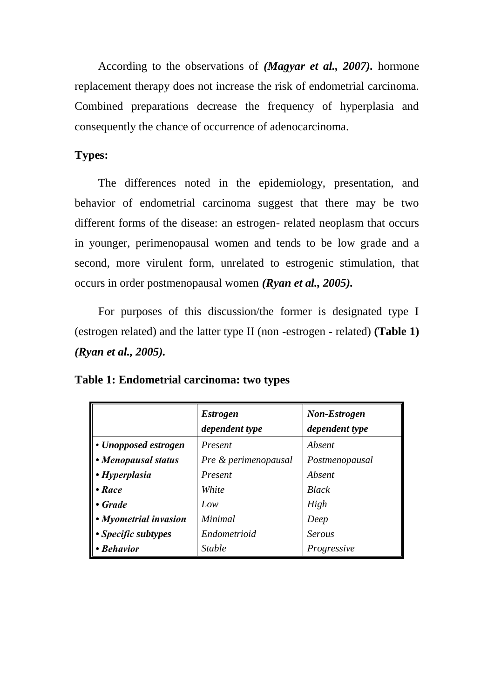According to the observations of *(Magyar et al., 2007).* hormone replacement therapy does not increase the risk of endometrial carcinoma. Combined preparations decrease the frequency of hyperplasia and consequently the chance of occurrence of adenocarcinoma.

# **Types:**

The differences noted in the epidemiology, presentation, and behavior of endometrial carcinoma suggest that there may be two different forms of the disease: an estrogen- related neoplasm that occurs in younger, perimenopausal women and tends to be low grade and a second, more virulent form, unrelated to estrogenic stimulation, that occurs in order postmenopausal women *(Ryan et al., 2005).*

For purposes of this discussion/the former is designated type I (estrogen related) and the latter type II (non -estrogen - related) **(Table 1)** *(Ryan et al., 2005).* 

**Table 1: Endometrial carcinoma: two types**

|                       | <b>Estrogen</b><br>dependent type | <b>Non-Estrogen</b><br>dependent type |
|-----------------------|-----------------------------------|---------------------------------------|
| • Unopposed estrogen  | Present                           | Absent                                |
| • Menopausal status   | Pre & perimenopausal              | Postmenopausal                        |
| • Hyperplasia         | Present                           | Absent                                |
| $\bullet$ Race        | White                             | <b>Black</b>                          |
| • Grade               | Low                               | High                                  |
| • Myometrial invasion | Minimal                           | Deep                                  |
| • Specific subtypes   | Endometrioid                      | <b>Serous</b>                         |
| • Behavior            | <b>Stable</b>                     | Progressive                           |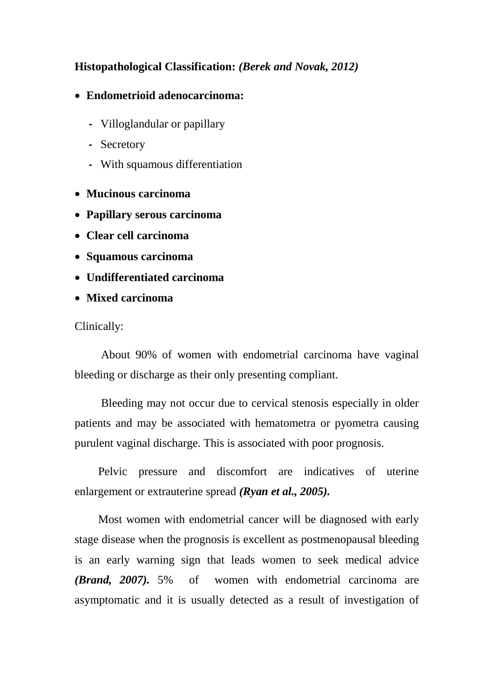# **Histopathological Classification:** *(Berek and Novak, 2012)*

## **Endometrioid adenocarcinoma:**

- **-** Villoglandular or papillary
- **-** Secretory
- **-** With squamous differentiation
- **Mucinous carcinoma**
- **Papillary serous carcinoma**
- **Clear cell carcinoma**
- **Squamous carcinoma**
- **Undifferentiated carcinoma**
- **Mixed carcinoma**

#### Clinically:

About 90% of women with endometrial carcinoma have vaginal bleeding or discharge as their only presenting compliant.

Bleeding may not occur due to cervical stenosis especially in older patients and may be associated with hematometra or pyometra causing purulent vaginal discharge. This is associated with poor prognosis.

Pelvic pressure and discomfort are indicatives of uterine enlargement or extrauterine spread *(Ryan et al., 2005).*

Most women with endometrial cancer will be diagnosed with early stage disease when the prognosis is excellent as postmenopausal bleeding is an early warning sign that leads women to seek medical advice *(Brand, 2007).* 5% of women with endometrial carcinoma are asymptomatic and it is usually detected as a result of investigation of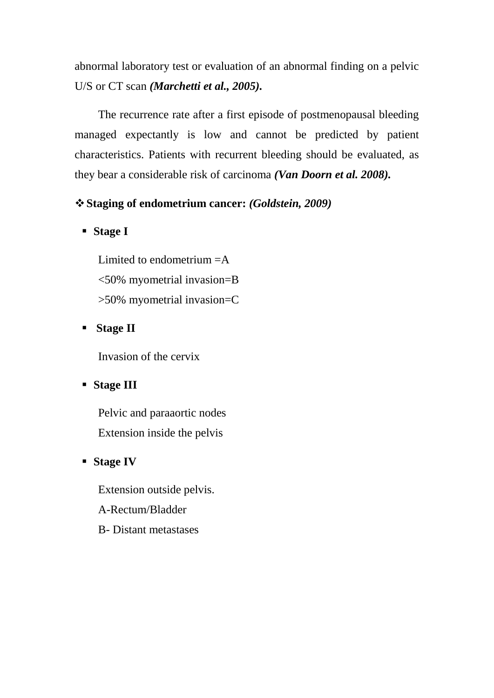abnormal laboratory test or evaluation of an abnormal finding on a pelvic U/S or CT scan *(Marchetti et al., 2005).*

The recurrence rate after a first episode of postmenopausal bleeding managed expectantly is low and cannot be predicted by patient characteristics. Patients with recurrent bleeding should be evaluated, as they bear a considerable risk of carcinoma *(Van Doorn et al. 2008).*

# **Staging of endometrium cancer:** *(Goldstein, 2009)*

**Stage I**

Limited to endometrium  $=A$ <50% myometrial invasion=B >50% myometrial invasion=C

## **Stage II**

Invasion of the cervix

## **Stage III**

Pelvic and paraaortic nodes Extension inside the pelvis

## **Stage IV**

Extension outside pelvis. A-Rectum/Bladder B- Distant metastases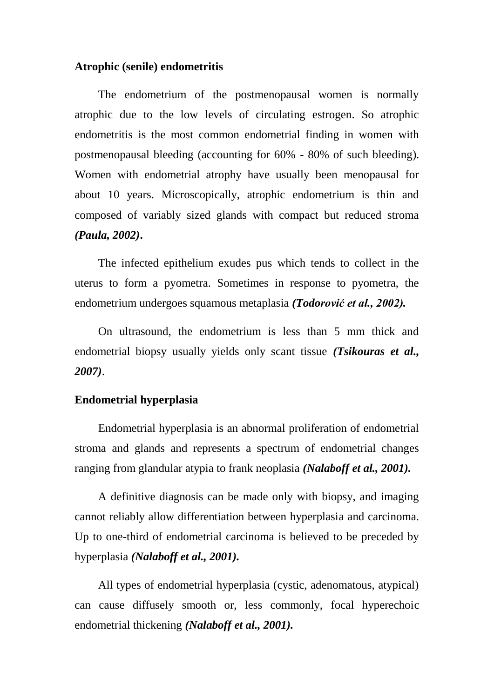#### **Atrophic (senile) endometritis**

The endometrium of the postmenopausal women is normally atrophic due to the low levels of circulating estrogen. So atrophic endometritis is the most common endometrial finding in women with postmenopausal bleeding (accounting for 60% - 80% of such bleeding). Women with endometrial atrophy have usually been menopausal for about 10 years. Microscopically, atrophic endometrium is thin and composed of variably sized glands with compact but reduced stroma *(Paula, 2002)***.**

The infected epithelium exudes pus which tends to collect in the uterus to form a pyometra. Sometimes in response to pyometra, the endometrium undergoes squamous metaplasia *(Todorović et al., 2002).*

On ultrasound, the endometrium is less than 5 mm thick and endometrial biopsy usually yields only scant tissue *(Tsikouras et al., 2007)*.

### **Endometrial hyperplasia**

Endometrial hyperplasia is an abnormal proliferation of endometrial stroma and glands and represents a spectrum of endometrial changes ranging from glandular atypia to frank neoplasia *(Nalaboff et al., 2001).*

A definitive diagnosis can be made only with biopsy, and imaging cannot reliably allow differentiation between hyperplasia and carcinoma. Up to one-third of endometrial carcinoma is believed to be preceded by hyperplasia *(Nalaboff et al., 2001).*

All types of endometrial hyperplasia (cystic, adenomatous, atypical) can cause diffusely smooth or, less commonly, focal hyperechoic endometrial thickening *(Nalaboff et al., 2001).*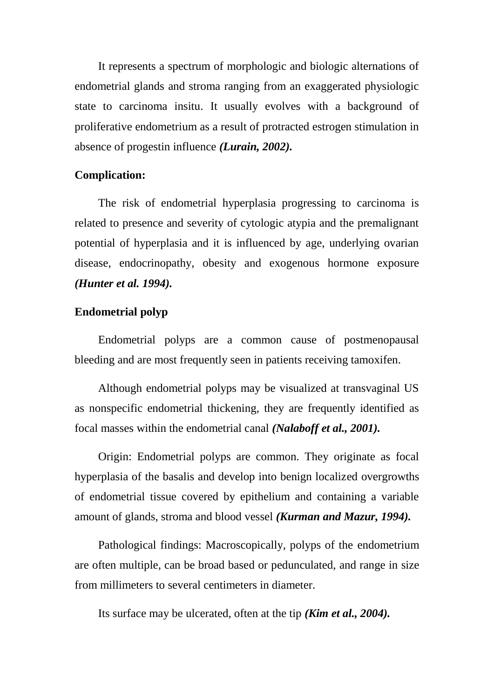It represents a spectrum of morphologic and biologic alternations of endometrial glands and stroma ranging from an exaggerated physiologic state to carcinoma insitu. It usually evolves with a background of proliferative endometrium as a result of protracted estrogen stimulation in absence of progestin influence *(Lurain, 2002).*

#### **Complication:**

The risk of endometrial hyperplasia progressing to carcinoma is related to presence and severity of cytologic atypia and the premalignant potential of hyperplasia and it is influenced by age, underlying ovarian disease, endocrinopathy, obesity and exogenous hormone exposure *(Hunter et al. 1994).*

#### **Endometrial polyp**

Endometrial polyps are a common cause of postmenopausal bleeding and are most frequently seen in patients receiving tamoxifen.

Although endometrial polyps may be visualized at transvaginal US as nonspecific endometrial thickening, they are frequently identified as focal masses within the endometrial canal *(Nalaboff et al., 2001).*

Origin: Endometrial polyps are common. They originate as focal hyperplasia of the basalis and develop into benign localized overgrowths of endometrial tissue covered by epithelium and containing a variable amount of glands, stroma and blood vessel *(Kurman and Mazur, 1994).*

Pathological findings: Macroscopically, polyps of the endometrium are often multiple, can be broad based or pedunculated, and range in size from millimeters to several centimeters in diameter.

Its surface may be ulcerated, often at the tip *(Kim et al., 2004).*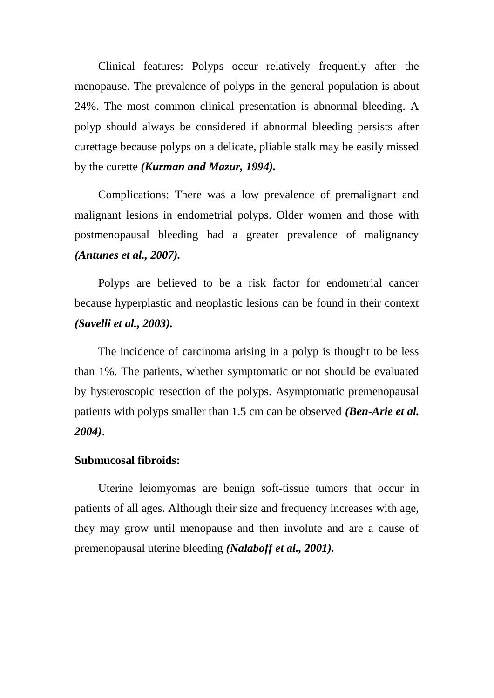Clinical features: Polyps occur relatively frequently after the menopause. The prevalence of polyps in the general population is about 24%. The most common clinical presentation is abnormal bleeding. A polyp should always be considered if abnormal bleeding persists after curettage because polyps on a delicate, pliable stalk may be easily missed by the curette *(Kurman and Mazur, 1994).*

Complications: There was a low prevalence of premalignant and malignant lesions in endometrial polyps. Older women and those with postmenopausal bleeding had a greater prevalence of malignancy *(Antunes et al., 2007).*

Polyps are believed to be a risk factor for endometrial cancer because hyperplastic and neoplastic lesions can be found in their context *(Savelli et al., 2003).*

The incidence of carcinoma arising in a polyp is thought to be less than 1%. The patients, whether symptomatic or not should be evaluated by hysteroscopic resection of the polyps. Asymptomatic premenopausal patients with polyps smaller than 1.5 cm can be observed *(Ben-Arie et al. 2004)*.

#### **Submucosal fibroids:**

Uterine leiomyomas are benign soft-tissue tumors that occur in patients of all ages. Although their size and frequency increases with age, they may grow until menopause and then involute and are a cause of premenopausal uterine bleeding *(Nalaboff et al., 2001).*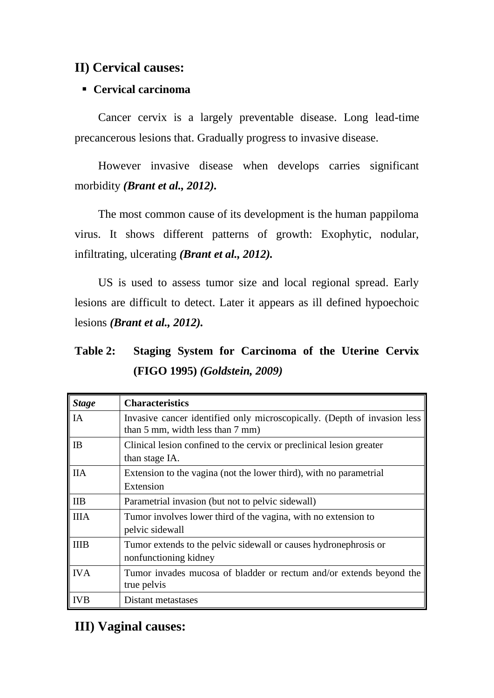# **II) Cervical causes:**

# **Cervical carcinoma**

Cancer cervix is a largely preventable disease. Long lead-time precancerous lesions that. Gradually progress to invasive disease.

However invasive disease when develops carries significant morbidity *(Brant et al., 2012).*

The most common cause of its development is the human pappiloma virus. It shows different patterns of growth: Exophytic, nodular, infiltrating, ulcerating *(Brant et al., 2012).*

US is used to assess tumor size and local regional spread. Early lesions are difficult to detect. Later it appears as ill defined hypoechoic lesions *(Brant et al., 2012).*

# **Table 2: Staging System for Carcinoma of the Uterine Cervix (FIGO 1995)** *(Goldstein, 2009)*

| <b>Stage</b> | <b>Characteristics</b>                                                                                       |
|--------------|--------------------------------------------------------------------------------------------------------------|
| IA           | Invasive cancer identified only microscopically. (Depth of invasion less<br>than 5 mm, width less than 7 mm) |
| IB           | Clinical lesion confined to the cervix or preclinical lesion greater<br>than stage IA.                       |
| <b>IIA</b>   | Extension to the vagina (not the lower third), with no parametrial<br>Extension                              |
| <b>IIB</b>   | Parametrial invasion (but not to pelvic sidewall)                                                            |
| <b>IIIA</b>  | Tumor involves lower third of the vagina, with no extension to<br>pelvic sidewall                            |
| <b>IIIB</b>  | Tumor extends to the pelvic sidewall or causes hydronephrosis or<br>nonfunctioning kidney                    |
| <b>IVA</b>   | Tumor invades mucosa of bladder or rectum and/or extends beyond the<br>true pelvis                           |
| <b>IVB</b>   | Distant metastases                                                                                           |

# **III) Vaginal causes:**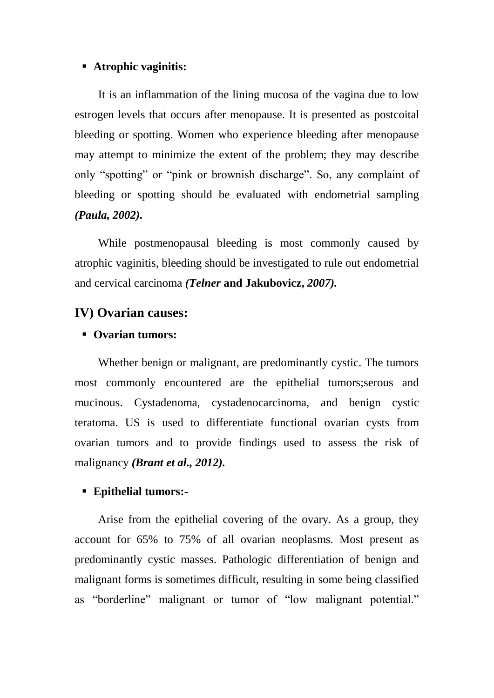#### **Atrophic vaginitis:**

It is an inflammation of the lining mucosa of the vagina due to low estrogen levels that occurs after menopause. It is presented as postcoital bleeding or spotting. Women who experience bleeding after menopause may attempt to minimize the extent of the problem; they may describe only "spotting" or "pink or brownish discharge". So, any complaint of bleeding or spotting should be evaluated with endometrial sampling *(Paula, 2002).*

While postmenopausal bleeding is most commonly caused by atrophic vaginitis, bleeding should be investigated to rule out endometrial and cervical carcinoma *(Telner* **and Jakubovicz,** *2007).*

# **IV) Ovarian causes:**

# **Ovarian tumors:**

Whether benign or malignant, are predominantly cystic. The tumors most commonly encountered are the epithelial tumors;serous and mucinous. Cystadenoma, cystadenocarcinoma, and benign cystic teratoma. US is used to differentiate functional ovarian cysts from ovarian tumors and to provide findings used to assess the risk of malignancy *(Brant et al., 2012).*

#### **Epithelial tumors:-**

Arise from the epithelial covering of the ovary. As a group, they account for 65% to 75% of all ovarian neoplasms. Most present as predominantly cystic masses. Pathologic differentiation of benign and malignant forms is sometimes difficult, resulting in some being classified as "borderline" malignant or tumor of "low malignant potential."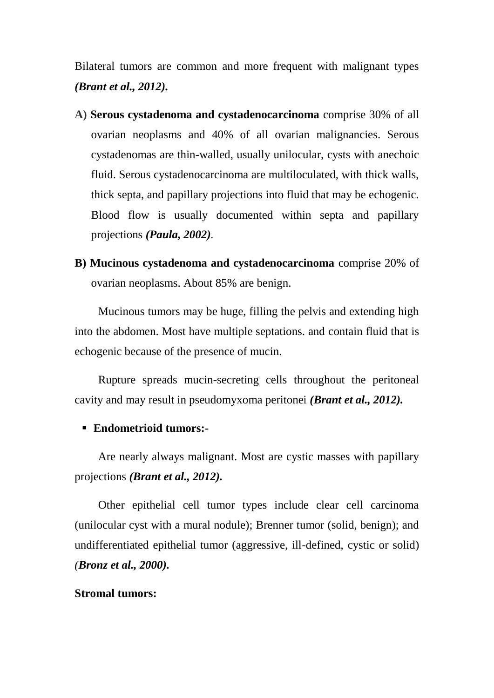Bilateral tumors are common and more frequent with malignant types *(Brant et al., 2012).*

- **A) Serous cystadenoma and cystadenocarcinoma** comprise 30% of all ovarian neoplasms and 40% of all ovarian malignancies. Serous cystadenomas are thin-walled, usually unilocular, cysts with anechoic fluid. Serous cystadenocarcinoma are multiloculated, with thick walls, thick septa, and papillary projections into fluid that may be echogenic. Blood flow is usually documented within septa and papillary projections *(Paula, 2002).*
- **B) Mucinous cystadenoma and cystadenocarcinoma** comprise 20% of ovarian neoplasms. About 85% are benign.

Mucinous tumors may be huge, filling the pelvis and extending high into the abdomen. Most have multiple septations. and contain fluid that is echogenic because of the presence of mucin.

Rupture spreads mucin-secreting cells throughout the peritoneal cavity and may result in pseudomyxoma peritonei *(Brant et al., 2012).*

### **Endometrioid tumors:-**

Are nearly always malignant. Most are cystic masses with papillary projections *(Brant et al., 2012).*

Other epithelial cell tumor types include clear cell carcinoma (unilocular cyst with a mural nodule); Brenner tumor (solid, benign); and undifferentiated epithelial tumor (aggressive, ill-defined, cystic or solid) *(Bronz et al., 2000).*

#### **Stromal tumors:**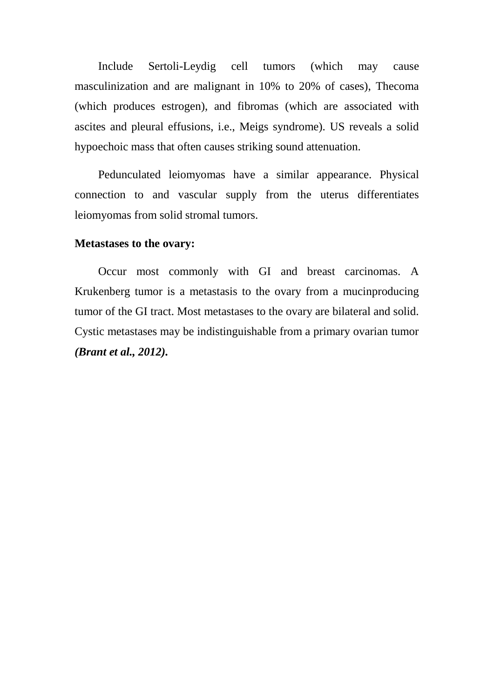Include Sertoli-Leydig cell tumors (which may cause masculinization and are malignant in 10% to 20% of cases), Thecoma (which produces estrogen), and fibromas (which are associated with ascites and pleural effusions, i.e., Meigs syndrome). US reveals a solid hypoechoic mass that often causes striking sound attenuation.

Pedunculated leiomyomas have a similar appearance. Physical connection to and vascular supply from the uterus differentiates leiomyomas from solid stromal tumors.

#### **Metastases to the ovary:**

Occur most commonly with GI and breast carcinomas. A Krukenberg tumor is a metastasis to the ovary from a mucinproducing tumor of the GI tract. Most metastases to the ovary are bilateral and solid. Cystic metastases may be indistinguishable from a primary ovarian tumor *(Brant et al., 2012).*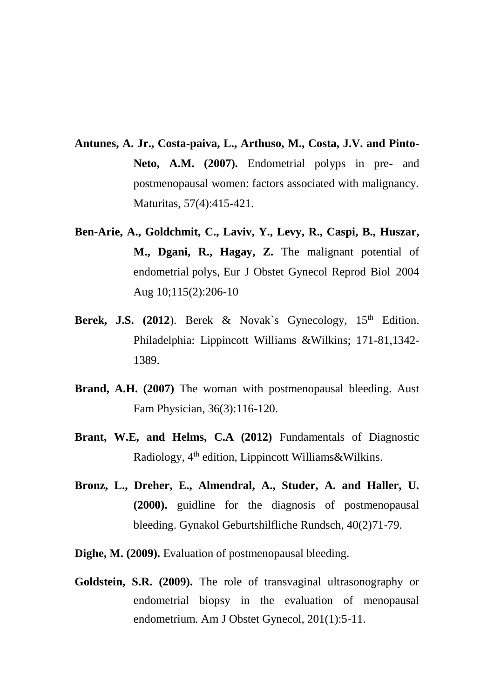- **Antunes, A. Jr., Costa-paiva, L., Arthuso, M., Costa, J.V. and Pinto-**Neto, A.M. (2007). Endometrial polyps in pre- and postmenopausal women: factors associated with malignancy. Maturitas, 57(4):415-421.
- **Ben-Arie, A., Goldchmit, C., Laviv, Y., Levy, R., Caspi, B., Huszar,**  M., Dgani, R., Hagay, Z. The malignant potential of endometrial polys, Eur J Obstet Gynecol Reprod Biol 2004 Aug 10;115(2):206-10
- Berek, J.S. (2012). Berek & Novak's Gynecology, 15<sup>th</sup> Edition. Philadelphia: Lippincott Williams &Wilkins; 171-81,1342- 1389.
- **Brand, A.H. (2007)** The woman with postmenopausal bleeding. Aust Fam Physician, 36(3):116-120.
- Brant, W.E., and Helms, C.A. (2012) Fundamentals of Diagnostic Radiology, 4<sup>th</sup> edition, Lippincott Williams&Wilkins.
- **Bronz, L., Dreher, E., Almendral, A., Studer, A. and Haller, U. (2000).** guidline for the diagnosis of postmenopausal bleeding. Gynakol Geburtshilfliche Rundsch, 40(2)71-79.
- **Dighe, M. (2009).** Evaluation of postmenopausal bleeding.
- **Goldstein, S.R. (2009).** The role of transvaginal ultrasonography or endometrial biopsy in the evaluation of menopausal endometrium. Am J Obstet Gynecol, 201(1):5-11.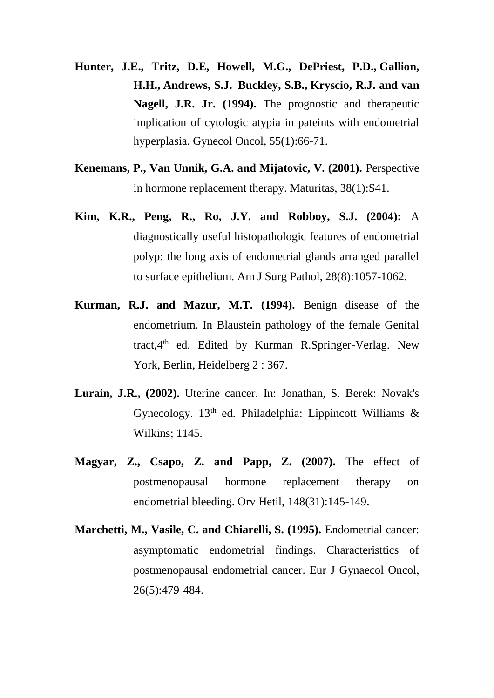- **Hunter, J.E., Tritz, D.E, Howell, M.G., [DePriest, P.D.](http://www.ncbi.nlm.nih.gov/pubmed/?term=DePriest%20PD%5BAuthor%5D&cauthor=true&cauthor_uid=7959270), [Gallion,](http://www.ncbi.nlm.nih.gov/pubmed/?term=Gallion%20HH%5BAuthor%5D&cauthor=true&cauthor_uid=7959270)  [H.H.](http://www.ncbi.nlm.nih.gov/pubmed/?term=Gallion%20HH%5BAuthor%5D&cauthor=true&cauthor_uid=7959270), [Andrews, S.J.](http://www.ncbi.nlm.nih.gov/pubmed/?term=Andrews%20SJ%5BAuthor%5D&cauthor=true&cauthor_uid=7959270) [Buckley, S.B.](http://www.ncbi.nlm.nih.gov/pubmed/?term=Buckley%20SB%5BAuthor%5D&cauthor=true&cauthor_uid=7959270), [Kryscio, R.J.](http://www.ncbi.nlm.nih.gov/pubmed/?term=Kryscio%20RJ%5BAuthor%5D&cauthor=true&cauthor_uid=7959270) and [van](http://www.ncbi.nlm.nih.gov/pubmed/?term=van%20Nagell%20JR%20Jr%5BAuthor%5D&cauthor=true&cauthor_uid=7959270)  [Nagell, J.R. Jr.](http://www.ncbi.nlm.nih.gov/pubmed/?term=van%20Nagell%20JR%20Jr%5BAuthor%5D&cauthor=true&cauthor_uid=7959270) (1994).** The prognostic and therapeutic implication of cytologic atypia in pateints with endometrial hyperplasia. Gynecol Oncol, 55(1):66-71.
- **Kenemans, P., Van Unnik, G.A. and Mijatovic, V. (2001).** Perspective in hormone replacement therapy. Maturitas, 38(1):S41.
- **Kim, K.R., Peng, R., Ro, J.Y. and Robboy, S.J. (2004):** A diagnostically useful histopathologic features of endometrial polyp: the long axis of endometrial glands arranged parallel to surface epithelium. Am J Surg Pathol, 28(8):1057-1062.
- **Kurman, R.J. and Mazur, M.T. (1994).** Benign disease of the endometrium. In Blaustein pathology of the female Genital tract,4th ed. Edited by Kurman R.Springer-Verlag. New York, Berlin, Heidelberg 2 : 367.
- **Lurain, J.R., (2002).** Uterine cancer. In: Jonathan, S. Berek: Novak's Gynecology.  $13<sup>th</sup>$  ed. Philadelphia: Lippincott Williams & Wilkins; 1145.
- **Magyar, Z., Csapo, Z. and Papp, Z. (2007).** The effect of postmenopausal hormone replacement therapy on endometrial bleeding. Orv Hetil, 148(31):145-149.
- **Marchetti, M., Vasile, C. and Chiarelli, S. (1995).** Endometrial cancer: asymptomatic endometrial findings. Characteristtics of postmenopausal endometrial cancer. Eur J Gynaecol Oncol, 26(5):479-484.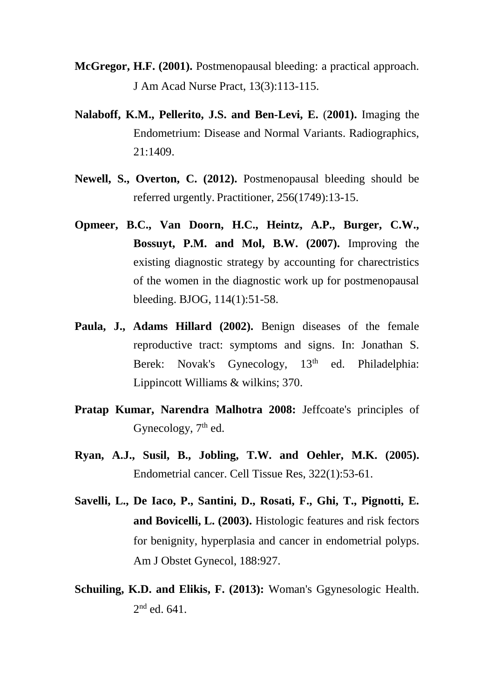- **McGregor, H.F. (2001).** Postmenopausal bleeding: a practical approach. J Am Acad Nurse Pract, 13(3):113-115.
- **[Nalaboff,](http://www.ncbi.nlm.nih.gov/pubmed/?term=Nalaboff%20KM%5BAuthor%5D&cauthor=true&cauthor_uid=11706213) K.M., [Pellerito, J.S.](http://www.ncbi.nlm.nih.gov/pubmed/?term=Pellerito%20JS%5BAuthor%5D&cauthor=true&cauthor_uid=11706213) and [Ben-Levi, E.](http://www.ncbi.nlm.nih.gov/pubmed/?term=Ben-Levi%20E%5BAuthor%5D&cauthor=true&cauthor_uid=11706213)** (**2001).** Imaging the Endometrium: Disease and Normal Variants. Radiographics, 21:1409.
- **Newell, S., Overton, C. (2012).** Postmenopausal bleeding should be referred urgently. Practitioner, 256(1749):13-15.
- **Opmeer, B.C., Van Doorn, H.C., Heintz, A.P., Burger, C.W., Bossuyt, P.M. and Mol, B.W. (2007).** Improving the existing diagnostic strategy by accounting for charectristics of the women in the diagnostic work up for postmenopausal bleeding. BJOG, 114(1):51-58.
- **Paula, J., Adams Hillard (2002).** Benign diseases of the female reproductive tract: symptoms and signs. In: Jonathan S. Berek: Novak's Gynecology, 13<sup>th</sup> ed. Philadelphia: Lippincott Williams & wilkins; 370.
- **Pratap Kumar, Narendra Malhotra 2008:** Jeffcoate's principles of Gynecology, 7<sup>th</sup> ed.
- **Ryan, A.J., Susil, B., Jobling, T.W. and Oehler, M.K. (2005).**  Endometrial cancer. Cell Tissue Res, 322(1):53-61.
- **Savelli, L., De Iaco, P., Santini, D., Rosati, F., Ghi, T., Pignotti, E. and Bovicelli, L. (2003).** Histologic features and risk fectors for benignity, hyperplasia and cancer in endometrial polyps. Am J Obstet Gynecol, 188:927.
- **Schuiling, K.D. and Elikis, F. (2013):** Woman's Ggynesologic Health.  $2<sup>nd</sup>$  ed. 641.